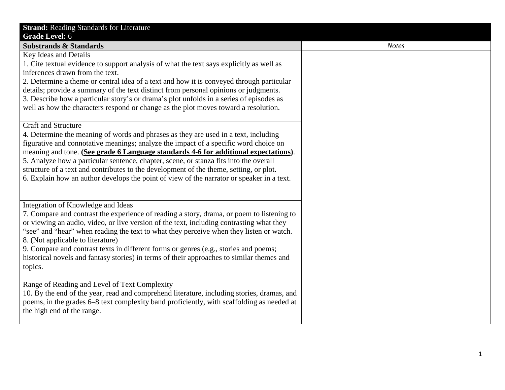| <b>Strand: Reading Standards for Literature</b>                                                                                                                                 |              |
|---------------------------------------------------------------------------------------------------------------------------------------------------------------------------------|--------------|
| <b>Grade Level: 6</b>                                                                                                                                                           |              |
| <b>Substrands &amp; Standards</b>                                                                                                                                               | <b>Notes</b> |
| Key Ideas and Details                                                                                                                                                           |              |
| 1. Cite textual evidence to support analysis of what the text says explicitly as well as                                                                                        |              |
| inferences drawn from the text.                                                                                                                                                 |              |
| 2. Determine a theme or central idea of a text and how it is conveyed through particular                                                                                        |              |
| details; provide a summary of the text distinct from personal opinions or judgments.                                                                                            |              |
| 3. Describe how a particular story's or drama's plot unfolds in a series of episodes as                                                                                         |              |
| well as how the characters respond or change as the plot moves toward a resolution.                                                                                             |              |
|                                                                                                                                                                                 |              |
| <b>Craft and Structure</b>                                                                                                                                                      |              |
| 4. Determine the meaning of words and phrases as they are used in a text, including                                                                                             |              |
| figurative and connotative meanings; analyze the impact of a specific word choice on                                                                                            |              |
| meaning and tone. (See grade 6 Language standards 4-6 for additional expectations).                                                                                             |              |
| 5. Analyze how a particular sentence, chapter, scene, or stanza fits into the overall<br>structure of a text and contributes to the development of the theme, setting, or plot. |              |
| 6. Explain how an author develops the point of view of the narrator or speaker in a text.                                                                                       |              |
|                                                                                                                                                                                 |              |
|                                                                                                                                                                                 |              |
| Integration of Knowledge and Ideas                                                                                                                                              |              |
| 7. Compare and contrast the experience of reading a story, drama, or poem to listening to                                                                                       |              |
| or viewing an audio, video, or live version of the text, including contrasting what they                                                                                        |              |
| "see" and "hear" when reading the text to what they perceive when they listen or watch.                                                                                         |              |
| 8. (Not applicable to literature)                                                                                                                                               |              |
| 9. Compare and contrast texts in different forms or genres (e.g., stories and poems;                                                                                            |              |
| historical novels and fantasy stories) in terms of their approaches to similar themes and                                                                                       |              |
| topics.                                                                                                                                                                         |              |
|                                                                                                                                                                                 |              |
| Range of Reading and Level of Text Complexity                                                                                                                                   |              |
| 10. By the end of the year, read and comprehend literature, including stories, dramas, and                                                                                      |              |
| poems, in the grades 6–8 text complexity band proficiently, with scaffolding as needed at                                                                                       |              |
| the high end of the range.                                                                                                                                                      |              |
|                                                                                                                                                                                 |              |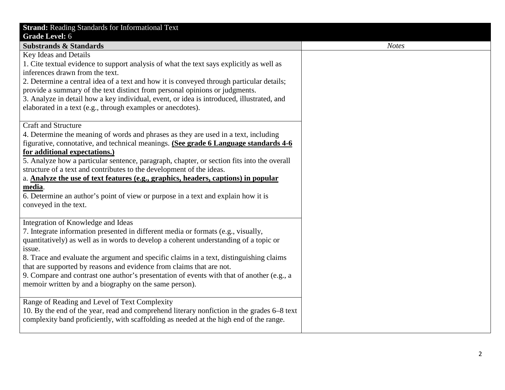| <b>Strand:</b> Reading Standards for Informational Text                                    |
|--------------------------------------------------------------------------------------------|
| <b>Grade Level: 6</b>                                                                      |
| <b>Substrands &amp; Standards</b>                                                          |
| Key Ideas and Details                                                                      |
| 1. Cite textual evidence to support analysis of what the text says explicitly as well as   |
| inferences drawn from the text.                                                            |
| 2. Determine a central idea of a text and how it is conveyed through particular details;   |
| provide a summary of the text distinct from personal opinions or judgments.                |
| 3. Analyze in detail how a key individual, event, or idea is introduced, illustrated, and  |
| elaborated in a text (e.g., through examples or anecdotes).                                |
|                                                                                            |
| Craft and Structure                                                                        |
| 4. Determine the meaning of words and phrases as they are used in a text, including        |
| figurative, connotative, and technical meanings. (See grade 6 Language standards 4-6       |
| for additional expectations.)                                                              |
| 5. Analyze how a particular sentence, paragraph, chapter, or section fits into the overall |
| structure of a text and contributes to the development of the ideas.                       |
| a. Analyze the use of text features (e.g., graphics, headers, captions) in popular         |
| media.                                                                                     |
| 6. Determine an author's point of view or purpose in a text and explain how it is          |
| conveyed in the text.                                                                      |
|                                                                                            |
| Integration of Knowledge and Ideas                                                         |
| 7. Integrate information presented in different media or formats (e.g., visually,          |
| quantitatively) as well as in words to develop a coherent understanding of a topic or      |
| issue.                                                                                     |
| 8. Trace and evaluate the argument and specific claims in a text, distinguishing claims    |
| that are supported by reasons and evidence from claims that are not.                       |
| 9. Compare and contrast one author's presentation of events with that of another (e.g., a  |
| memoir written by and a biography on the same person).                                     |
|                                                                                            |
| Range of Reading and Level of Text Complexity                                              |
| 10. By the end of the year, read and comprehend literary nonfiction in the grades 6–8 text |
| complexity band proficiently, with scaffolding as needed at the high end of the range.     |
|                                                                                            |
|                                                                                            |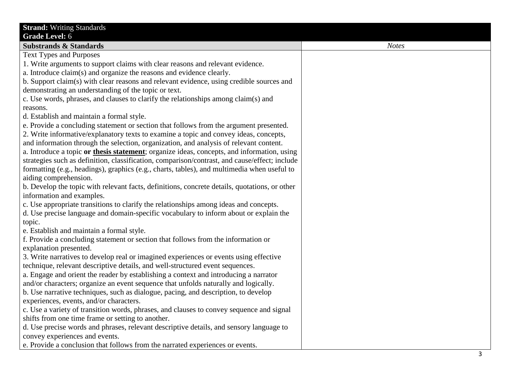| <b>Strand: Writing Standards</b><br>Grade Level: 6                                            |              |
|-----------------------------------------------------------------------------------------------|--------------|
| <b>Substrands &amp; Standards</b>                                                             | <b>Notes</b> |
| <b>Text Types and Purposes</b>                                                                |              |
| 1. Write arguments to support claims with clear reasons and relevant evidence.                |              |
| a. Introduce claim(s) and organize the reasons and evidence clearly.                          |              |
| b. Support claim(s) with clear reasons and relevant evidence, using credible sources and      |              |
| demonstrating an understanding of the topic or text.                                          |              |
| c. Use words, phrases, and clauses to clarify the relationships among claim(s) and            |              |
| reasons.                                                                                      |              |
| d. Establish and maintain a formal style.                                                     |              |
| e. Provide a concluding statement or section that follows from the argument presented.        |              |
| 2. Write informative/explanatory texts to examine a topic and convey ideas, concepts,         |              |
| and information through the selection, organization, and analysis of relevant content.        |              |
| a. Introduce a topic or thesis statement; organize ideas, concepts, and information, using    |              |
| strategies such as definition, classification, comparison/contrast, and cause/effect; include |              |
| formatting (e.g., headings), graphics (e.g., charts, tables), and multimedia when useful to   |              |
| aiding comprehension.                                                                         |              |
| b. Develop the topic with relevant facts, definitions, concrete details, quotations, or other |              |
| information and examples.                                                                     |              |
| c. Use appropriate transitions to clarify the relationships among ideas and concepts.         |              |
| d. Use precise language and domain-specific vocabulary to inform about or explain the         |              |
| topic.                                                                                        |              |
| e. Establish and maintain a formal style.                                                     |              |
| f. Provide a concluding statement or section that follows from the information or             |              |
| explanation presented.                                                                        |              |
| 3. Write narratives to develop real or imagined experiences or events using effective         |              |
| technique, relevant descriptive details, and well-structured event sequences.                 |              |
| a. Engage and orient the reader by establishing a context and introducing a narrator          |              |
| and/or characters; organize an event sequence that unfolds naturally and logically.           |              |
| b. Use narrative techniques, such as dialogue, pacing, and description, to develop            |              |
| experiences, events, and/or characters.                                                       |              |
| c. Use a variety of transition words, phrases, and clauses to convey sequence and signal      |              |
| shifts from one time frame or setting to another.                                             |              |
| d. Use precise words and phrases, relevant descriptive details, and sensory language to       |              |
| convey experiences and events.                                                                |              |
| e. Provide a conclusion that follows from the narrated experiences or events.                 |              |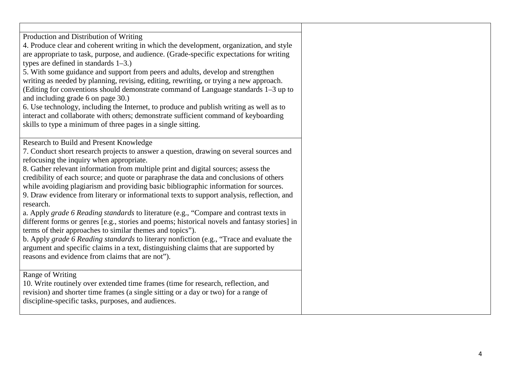| Production and Distribution of Writing                                                        |
|-----------------------------------------------------------------------------------------------|
| 4. Produce clear and coherent writing in which the development, organization, and style       |
| are appropriate to task, purpose, and audience. (Grade-specific expectations for writing      |
| types are defined in standards $1-3$ .)                                                       |
| 5. With some guidance and support from peers and adults, develop and strengthen               |
| writing as needed by planning, revising, editing, rewriting, or trying a new approach.        |
| (Editing for conventions should demonstrate command of Language standards 1–3 up to           |
| and including grade 6 on page 30.)                                                            |
| 6. Use technology, including the Internet, to produce and publish writing as well as to       |
| interact and collaborate with others; demonstrate sufficient command of keyboarding           |
| skills to type a minimum of three pages in a single sitting.                                  |
|                                                                                               |
| Research to Build and Present Knowledge                                                       |
| 7. Conduct short research projects to answer a question, drawing on several sources and       |
| refocusing the inquiry when appropriate.                                                      |
| 8. Gather relevant information from multiple print and digital sources; assess the            |
| credibility of each source; and quote or paraphrase the data and conclusions of others        |
| while avoiding plagiarism and providing basic bibliographic information for sources.          |
| 9. Draw evidence from literary or informational texts to support analysis, reflection, and    |
| research.                                                                                     |
| a. Apply grade 6 Reading standards to literature (e.g., "Compare and contrast texts in        |
| different forms or genres [e.g., stories and poems; historical novels and fantasy stories] in |
| terms of their approaches to similar themes and topics").                                     |
| b. Apply grade 6 Reading standards to literary nonfiction (e.g., "Trace and evaluate the      |
| argument and specific claims in a text, distinguishing claims that are supported by           |
| reasons and evidence from claims that are not").                                              |
|                                                                                               |
| Range of Writing                                                                              |
| 10. Write routinely over extended time frames (time for research, reflection, and             |
| revision) and shorter time frames (a single sitting or a day or two) for a range of           |
| discipline-specific tasks, purposes, and audiences.                                           |
|                                                                                               |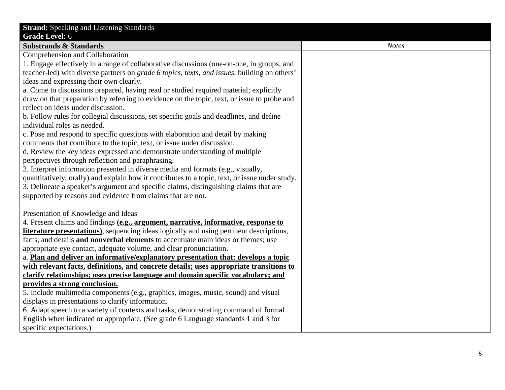| <b>Strand:</b> Speaking and Listening Standards                                                 |
|-------------------------------------------------------------------------------------------------|
| <b>Grade Level: 6</b>                                                                           |
| <b>Substrands &amp; Standards</b>                                                               |
| Comprehension and Collaboration                                                                 |
| 1. Engage effectively in a range of collaborative discussions (one-on-one, in groups, and       |
| teacher-led) with diverse partners on grade 6 topics, texts, and issues, building on others'    |
| ideas and expressing their own clearly.                                                         |
| a. Come to discussions prepared, having read or studied required material; explicitly           |
| draw on that preparation by referring to evidence on the topic, text, or issue to probe and     |
| reflect on ideas under discussion.                                                              |
| b. Follow rules for collegial discussions, set specific goals and deadlines, and define         |
| individual roles as needed.                                                                     |
| c. Pose and respond to specific questions with elaboration and detail by making                 |
| comments that contribute to the topic, text, or issue under discussion.                         |
| d. Review the key ideas expressed and demonstrate understanding of multiple                     |
| perspectives through reflection and paraphrasing.                                               |
| 2. Interpret information presented in diverse media and formats (e.g., visually,                |
| quantitatively, orally) and explain how it contributes to a topic, text, or issue under study.  |
| 3. Delineate a speaker's argument and specific claims, distinguishing claims that are           |
| supported by reasons and evidence from claims that are not.                                     |
|                                                                                                 |
| Presentation of Knowledge and Ideas                                                             |
| 4. Present claims and findings (e.g., argument, narrative, informative, response to             |
| <b>literature presentations</b> ), sequencing ideas logically and using pertinent descriptions, |
| facts, and details and nonverbal elements to accentuate main ideas or themes; use               |
| appropriate eye contact, adequate volume, and clear pronunciation.                              |
| a. Plan and deliver an informative/explanatory presentation that: develops a topic              |
| with relevant facts, definitions, and concrete details; uses appropriate transitions to         |
| clarify relationships; uses precise language and domain specific vocabulary; and                |
| provides a strong conclusion.                                                                   |
| 5. Include multimedia components (e.g., graphics, images, music, sound) and visual              |
| displays in presentations to clarify information.                                               |
| 6. Adapt speech to a variety of contexts and tasks, demonstrating command of formal             |
| English when indicated or appropriate. (See grade 6 Language standards 1 and 3 for              |
| specific expectations.)                                                                         |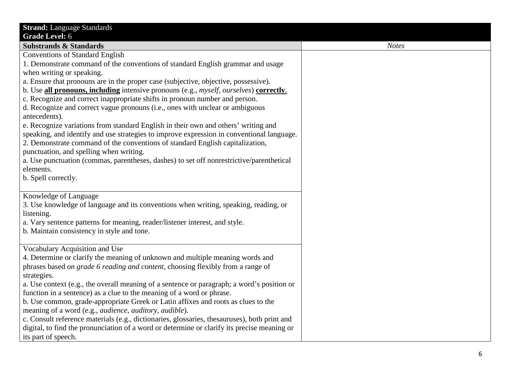| <b>Strand: Language Standards</b><br><b>Grade Level: 6</b>                                     |
|------------------------------------------------------------------------------------------------|
| <b>Substrands &amp; Standards</b>                                                              |
| <b>Conventions of Standard English</b>                                                         |
| 1. Demonstrate command of the conventions of standard English grammar and usage                |
| when writing or speaking.                                                                      |
| a. Ensure that pronouns are in the proper case (subjective, objective, possessive).            |
| b. Use all pronouns, including intensive pronouns (e.g., <i>myself, ourselves</i> ) correctly. |
| c. Recognize and correct inappropriate shifts in pronoun number and person.                    |
| d. Recognize and correct vague pronouns (i.e., ones with unclear or ambiguous                  |
| antecedents).                                                                                  |
| e. Recognize variations from standard English in their own and others' writing and             |
| speaking, and identify and use strategies to improve expression in conventional language.      |
| 2. Demonstrate command of the conventions of standard English capitalization,                  |
| punctuation, and spelling when writing.                                                        |
| a. Use punctuation (commas, parentheses, dashes) to set off nonrestrictive/parenthetical       |
| elements.                                                                                      |
| b. Spell correctly.                                                                            |
|                                                                                                |
| Knowledge of Language                                                                          |
| 3. Use knowledge of language and its conventions when writing, speaking, reading, or           |
| listening.                                                                                     |
| a. Vary sentence patterns for meaning, reader/listener interest, and style.                    |
| b. Maintain consistency in style and tone.                                                     |
|                                                                                                |
| Vocabulary Acquisition and Use                                                                 |
| 4. Determine or clarify the meaning of unknown and multiple meaning words and                  |
| phrases based on grade 6 reading and content, choosing flexibly from a range of                |
| strategies.                                                                                    |
| a. Use context (e.g., the overall meaning of a sentence or paragraph; a word's position or     |
| function in a sentence) as a clue to the meaning of a word or phrase.                          |
| b. Use common, grade-appropriate Greek or Latin affixes and roots as clues to the              |
| meaning of a word (e.g., <i>audience</i> , <i>auditory</i> , <i>audible</i> ).                 |
| c. Consult reference materials (e.g., dictionaries, glossaries, thesauruses), both print and   |
| digital, to find the pronunciation of a word or determine or clarify its precise meaning or    |
| its part of speech.                                                                            |
|                                                                                                |